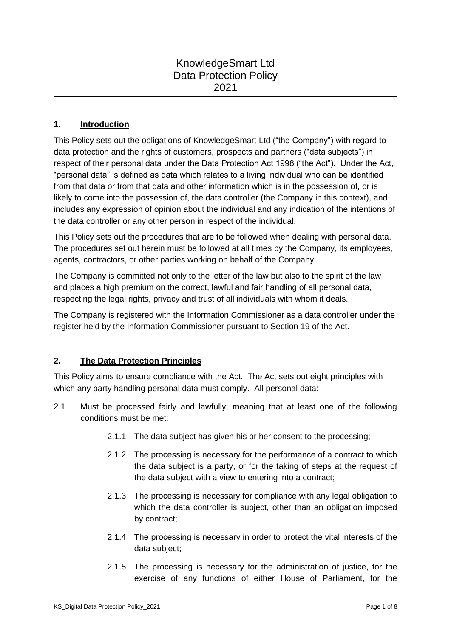# KnowledgeSmart Ltd Data Protection Policy 2021

### **1. Introduction**

This Policy sets out the obligations of KnowledgeSmart Ltd ("the Company") with regard to data protection and the rights of customers, prospects and partners ("data subjects") in respect of their personal data under the Data Protection Act 1998 ("the Act"). Under the Act, "personal data" is defined as data which relates to a living individual who can be identified from that data or from that data and other information which is in the possession of, or is likely to come into the possession of, the data controller (the Company in this context), and includes any expression of opinion about the individual and any indication of the intentions of the data controller or any other person in respect of the individual.

This Policy sets out the procedures that are to be followed when dealing with personal data. The procedures set out herein must be followed at all times by the Company, its employees, agents, contractors, or other parties working on behalf of the Company.

The Company is committed not only to the letter of the law but also to the spirit of the law and places a high premium on the correct, lawful and fair handling of all personal data, respecting the legal rights, privacy and trust of all individuals with whom it deals.

The Company is registered with the Information Commissioner as a data controller under the register held by the Information Commissioner pursuant to Section 19 of the Act.

#### **2. The Data Protection Principles**

This Policy aims to ensure compliance with the Act. The Act sets out eight principles with which any party handling personal data must comply. All personal data:

- 2.1 Must be processed fairly and lawfully, meaning that at least one of the following conditions must be met:
	- 2.1.1 The data subject has given his or her consent to the processing;
	- 2.1.2 The processing is necessary for the performance of a contract to which the data subject is a party, or for the taking of steps at the request of the data subject with a view to entering into a contract;
	- 2.1.3 The processing is necessary for compliance with any legal obligation to which the data controller is subject, other than an obligation imposed by contract;
	- 2.1.4 The processing is necessary in order to protect the vital interests of the data subject;
	- 2.1.5 The processing is necessary for the administration of justice, for the exercise of any functions of either House of Parliament, for the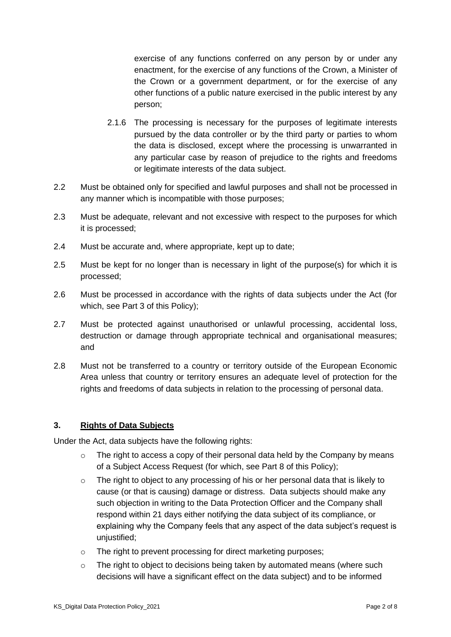exercise of any functions conferred on any person by or under any enactment, for the exercise of any functions of the Crown, a Minister of the Crown or a government department, or for the exercise of any other functions of a public nature exercised in the public interest by any person;

- 2.1.6 The processing is necessary for the purposes of legitimate interests pursued by the data controller or by the third party or parties to whom the data is disclosed, except where the processing is unwarranted in any particular case by reason of prejudice to the rights and freedoms or legitimate interests of the data subject.
- 2.2 Must be obtained only for specified and lawful purposes and shall not be processed in any manner which is incompatible with those purposes;
- 2.3 Must be adequate, relevant and not excessive with respect to the purposes for which it is processed;
- 2.4 Must be accurate and, where appropriate, kept up to date;
- 2.5 Must be kept for no longer than is necessary in light of the purpose(s) for which it is processed;
- 2.6 Must be processed in accordance with the rights of data subjects under the Act (for which, see Part 3 of this Policy);
- 2.7 Must be protected against unauthorised or unlawful processing, accidental loss, destruction or damage through appropriate technical and organisational measures; and
- 2.8 Must not be transferred to a country or territory outside of the European Economic Area unless that country or territory ensures an adequate level of protection for the rights and freedoms of data subjects in relation to the processing of personal data.

#### **3. Rights of Data Subjects**

Under the Act, data subjects have the following rights:

- o The right to access a copy of their personal data held by the Company by means of a Subject Access Request (for which, see Part 8 of this Policy);
- o The right to object to any processing of his or her personal data that is likely to cause (or that is causing) damage or distress. Data subjects should make any such objection in writing to the Data Protection Officer and the Company shall respond within 21 days either notifying the data subject of its compliance, or explaining why the Company feels that any aspect of the data subject's request is unjustified;
- o The right to prevent processing for direct marketing purposes;
- o The right to object to decisions being taken by automated means (where such decisions will have a significant effect on the data subject) and to be informed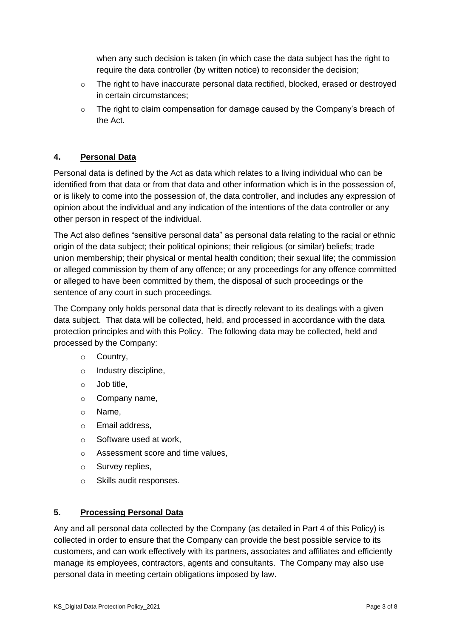when any such decision is taken (in which case the data subject has the right to require the data controller (by written notice) to reconsider the decision;

- o The right to have inaccurate personal data rectified, blocked, erased or destroyed in certain circumstances;
- o The right to claim compensation for damage caused by the Company's breach of the Act.

## **4. Personal Data**

Personal data is defined by the Act as data which relates to a living individual who can be identified from that data or from that data and other information which is in the possession of, or is likely to come into the possession of, the data controller, and includes any expression of opinion about the individual and any indication of the intentions of the data controller or any other person in respect of the individual.

The Act also defines "sensitive personal data" as personal data relating to the racial or ethnic origin of the data subject; their political opinions; their religious (or similar) beliefs; trade union membership; their physical or mental health condition; their sexual life; the commission or alleged commission by them of any offence; or any proceedings for any offence committed or alleged to have been committed by them, the disposal of such proceedings or the sentence of any court in such proceedings.

The Company only holds personal data that is directly relevant to its dealings with a given data subject. That data will be collected, held, and processed in accordance with the data protection principles and with this Policy. The following data may be collected, held and processed by the Company:

- o Country,
- o Industry discipline,
- o Job title,
- o Company name,
- o Name,
- o Email address,
- o Software used at work,
- o Assessment score and time values,
- o Survey replies,
- o Skills audit responses.

#### **5. Processing Personal Data**

Any and all personal data collected by the Company (as detailed in Part 4 of this Policy) is collected in order to ensure that the Company can provide the best possible service to its customers, and can work effectively with its partners, associates and affiliates and efficiently manage its employees, contractors, agents and consultants. The Company may also use personal data in meeting certain obligations imposed by law.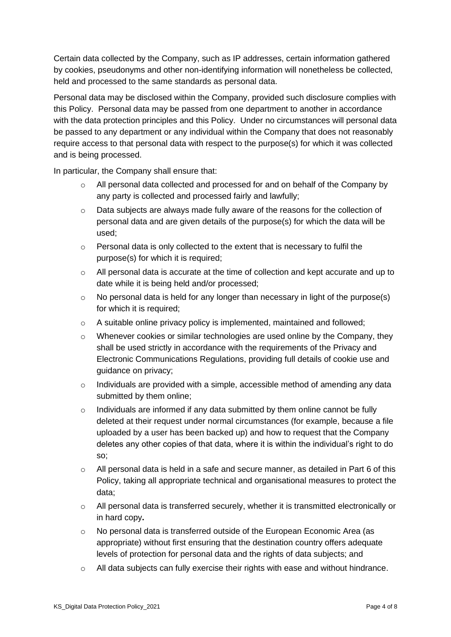Certain data collected by the Company, such as IP addresses, certain information gathered by cookies, pseudonyms and other non-identifying information will nonetheless be collected, held and processed to the same standards as personal data.

Personal data may be disclosed within the Company, provided such disclosure complies with this Policy. Personal data may be passed from one department to another in accordance with the data protection principles and this Policy. Under no circumstances will personal data be passed to any department or any individual within the Company that does not reasonably require access to that personal data with respect to the purpose(s) for which it was collected and is being processed.

In particular, the Company shall ensure that:

- $\circ$  All personal data collected and processed for and on behalf of the Company by any party is collected and processed fairly and lawfully;
- o Data subjects are always made fully aware of the reasons for the collection of personal data and are given details of the purpose(s) for which the data will be used;
- o Personal data is only collected to the extent that is necessary to fulfil the purpose(s) for which it is required;
- o All personal data is accurate at the time of collection and kept accurate and up to date while it is being held and/or processed;
- $\circ$  No personal data is held for any longer than necessary in light of the purpose(s) for which it is required;
- $\circ$  A suitable online privacy policy is implemented, maintained and followed;
- $\circ$  Whenever cookies or similar technologies are used online by the Company, they shall be used strictly in accordance with the requirements of the Privacy and Electronic Communications Regulations, providing full details of cookie use and guidance on privacy;
- o Individuals are provided with a simple, accessible method of amending any data submitted by them online;
- o Individuals are informed if any data submitted by them online cannot be fully deleted at their request under normal circumstances (for example, because a file uploaded by a user has been backed up) and how to request that the Company deletes any other copies of that data, where it is within the individual's right to do so;
- $\circ$  All personal data is held in a safe and secure manner, as detailed in Part 6 of this Policy, taking all appropriate technical and organisational measures to protect the data;
- o All personal data is transferred securely, whether it is transmitted electronically or in hard copy**.**
- o No personal data is transferred outside of the European Economic Area (as appropriate) without first ensuring that the destination country offers adequate levels of protection for personal data and the rights of data subjects; and
- $\circ$  All data subjects can fully exercise their rights with ease and without hindrance.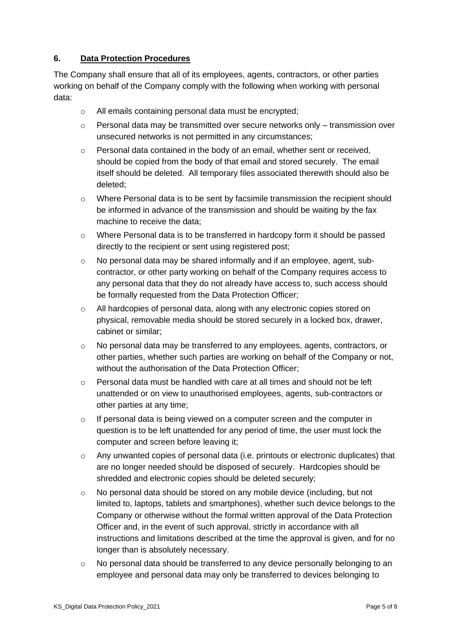## **6. Data Protection Procedures**

The Company shall ensure that all of its employees, agents, contractors, or other parties working on behalf of the Company comply with the following when working with personal data:

- o All emails containing personal data must be encrypted;
- $\circ$  Personal data may be transmitted over secure networks only transmission over unsecured networks is not permitted in any circumstances;
- $\circ$  Personal data contained in the body of an email, whether sent or received, should be copied from the body of that email and stored securely. The email itself should be deleted. All temporary files associated therewith should also be deleted;
- $\circ$  Where Personal data is to be sent by facsimile transmission the recipient should be informed in advance of the transmission and should be waiting by the fax machine to receive the data;
- o Where Personal data is to be transferred in hardcopy form it should be passed directly to the recipient or sent using registered post;
- o No personal data may be shared informally and if an employee, agent, subcontractor, or other party working on behalf of the Company requires access to any personal data that they do not already have access to, such access should be formally requested from the Data Protection Officer;
- o All hardcopies of personal data, along with any electronic copies stored on physical, removable media should be stored securely in a locked box, drawer, cabinet or similar;
- $\circ$  No personal data may be transferred to any employees, agents, contractors, or other parties, whether such parties are working on behalf of the Company or not, without the authorisation of the Data Protection Officer:
- $\circ$  Personal data must be handled with care at all times and should not be left unattended or on view to unauthorised employees, agents, sub-contractors or other parties at any time;
- o If personal data is being viewed on a computer screen and the computer in question is to be left unattended for any period of time, the user must lock the computer and screen before leaving it;
- o Any unwanted copies of personal data (i.e. printouts or electronic duplicates) that are no longer needed should be disposed of securely. Hardcopies should be shredded and electronic copies should be deleted securely;
- $\circ$  No personal data should be stored on any mobile device (including, but not limited to, laptops, tablets and smartphones), whether such device belongs to the Company or otherwise without the formal written approval of the Data Protection Officer and, in the event of such approval, strictly in accordance with all instructions and limitations described at the time the approval is given, and for no longer than is absolutely necessary.
- o No personal data should be transferred to any device personally belonging to an employee and personal data may only be transferred to devices belonging to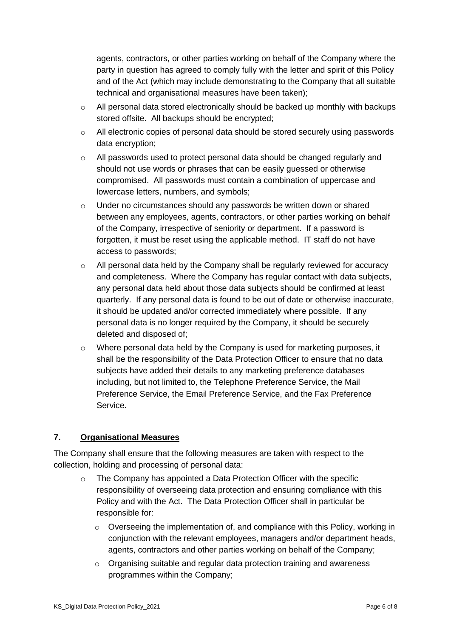agents, contractors, or other parties working on behalf of the Company where the party in question has agreed to comply fully with the letter and spirit of this Policy and of the Act (which may include demonstrating to the Company that all suitable technical and organisational measures have been taken);

- o All personal data stored electronically should be backed up monthly with backups stored offsite. All backups should be encrypted;
- $\circ$  All electronic copies of personal data should be stored securely using passwords data encryption;
- $\circ$  All passwords used to protect personal data should be changed regularly and should not use words or phrases that can be easily guessed or otherwise compromised. All passwords must contain a combination of uppercase and lowercase letters, numbers, and symbols;
- $\circ$  Under no circumstances should any passwords be written down or shared between any employees, agents, contractors, or other parties working on behalf of the Company, irrespective of seniority or department. If a password is forgotten, it must be reset using the applicable method. IT staff do not have access to passwords;
- $\circ$  All personal data held by the Company shall be regularly reviewed for accuracy and completeness. Where the Company has regular contact with data subjects, any personal data held about those data subjects should be confirmed at least quarterly. If any personal data is found to be out of date or otherwise inaccurate, it should be updated and/or corrected immediately where possible. If any personal data is no longer required by the Company, it should be securely deleted and disposed of;
- $\circ$  Where personal data held by the Company is used for marketing purposes, it shall be the responsibility of the Data Protection Officer to ensure that no data subjects have added their details to any marketing preference databases including, but not limited to, the Telephone Preference Service, the Mail Preference Service, the Email Preference Service, and the Fax Preference Service.

## **7. Organisational Measures**

The Company shall ensure that the following measures are taken with respect to the collection, holding and processing of personal data:

- o The Company has appointed a Data Protection Officer with the specific responsibility of overseeing data protection and ensuring compliance with this Policy and with the Act. The Data Protection Officer shall in particular be responsible for:
	- $\circ$  Overseeing the implementation of, and compliance with this Policy, working in conjunction with the relevant employees, managers and/or department heads, agents, contractors and other parties working on behalf of the Company;
	- o Organising suitable and regular data protection training and awareness programmes within the Company;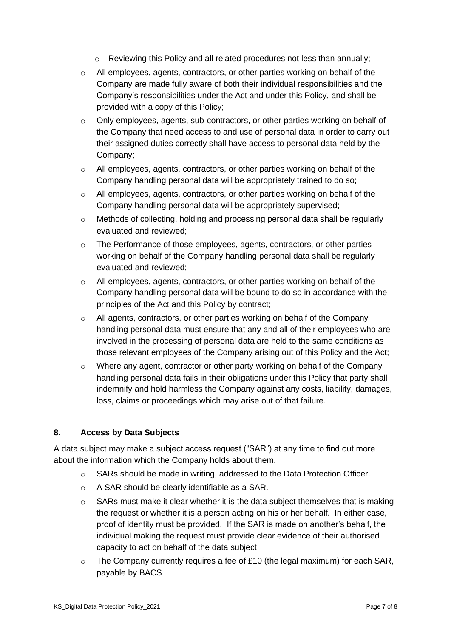- o Reviewing this Policy and all related procedures not less than annually;
- o All employees, agents, contractors, or other parties working on behalf of the Company are made fully aware of both their individual responsibilities and the Company's responsibilities under the Act and under this Policy, and shall be provided with a copy of this Policy;
- $\circ$  Only employees, agents, sub-contractors, or other parties working on behalf of the Company that need access to and use of personal data in order to carry out their assigned duties correctly shall have access to personal data held by the Company;
- o All employees, agents, contractors, or other parties working on behalf of the Company handling personal data will be appropriately trained to do so;
- o All employees, agents, contractors, or other parties working on behalf of the Company handling personal data will be appropriately supervised;
- o Methods of collecting, holding and processing personal data shall be regularly evaluated and reviewed;
- $\circ$  The Performance of those employees, agents, contractors, or other parties working on behalf of the Company handling personal data shall be regularly evaluated and reviewed;
- o All employees, agents, contractors, or other parties working on behalf of the Company handling personal data will be bound to do so in accordance with the principles of the Act and this Policy by contract;
- o All agents, contractors, or other parties working on behalf of the Company handling personal data must ensure that any and all of their employees who are involved in the processing of personal data are held to the same conditions as those relevant employees of the Company arising out of this Policy and the Act;
- o Where any agent, contractor or other party working on behalf of the Company handling personal data fails in their obligations under this Policy that party shall indemnify and hold harmless the Company against any costs, liability, damages, loss, claims or proceedings which may arise out of that failure.

#### **8. Access by Data Subjects**

A data subject may make a subject access request ("SAR") at any time to find out more about the information which the Company holds about them.

- o SARs should be made in writing, addressed to the Data Protection Officer.
- o A SAR should be clearly identifiable as a SAR.
- $\circ$  SARs must make it clear whether it is the data subject themselves that is making the request or whether it is a person acting on his or her behalf. In either case, proof of identity must be provided. If the SAR is made on another's behalf, the individual making the request must provide clear evidence of their authorised capacity to act on behalf of the data subject.
- $\circ$  The Company currently requires a fee of £10 (the legal maximum) for each SAR, payable by BACS